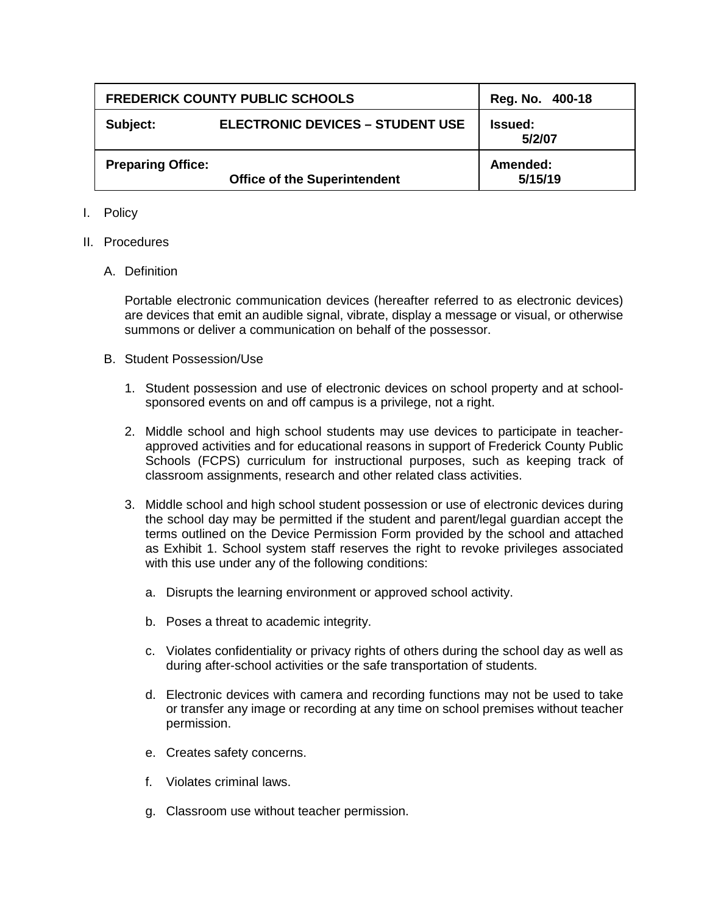| <b>FREDERICK COUNTY PUBLIC SCHOOLS</b> |                                         | Reg. No. 400-18          |
|----------------------------------------|-----------------------------------------|--------------------------|
| Subject:                               | <b>ELECTRONIC DEVICES - STUDENT USE</b> | <b>Issued:</b><br>5/2/07 |
| <b>Preparing Office:</b>               | <b>Office of the Superintendent</b>     | Amended:<br>5/15/19      |

- I. Policy
- II. Procedures
	- A. Definition

Portable electronic communication devices (hereafter referred to as electronic devices) are devices that emit an audible signal, vibrate, display a message or visual, or otherwise summons or deliver a communication on behalf of the possessor.

- B. Student Possession/Use
	- 1. Student possession and use of electronic devices on school property and at schoolsponsored events on and off campus is a privilege, not a right.
	- 2. Middle school and high school students may use devices to participate in teacherapproved activities and for educational reasons in support of Frederick County Public Schools (FCPS) curriculum for instructional purposes, such as keeping track of classroom assignments, research and other related class activities.
	- 3. Middle school and high school student possession or use of electronic devices during the school day may be permitted if the student and parent/legal guardian accept the terms outlined on the Device Permission Form provided by the school and attached as Exhibit 1. School system staff reserves the right to revoke privileges associated with this use under any of the following conditions:
		- a. Disrupts the learning environment or approved school activity.
		- b. Poses a threat to academic integrity.
		- c. Violates confidentiality or privacy rights of others during the school day as well as during after-school activities or the safe transportation of students.
		- d. Electronic devices with camera and recording functions may not be used to take or transfer any image or recording at any time on school premises without teacher permission.
		- e. Creates safety concerns.
		- f. Violates criminal laws.
		- g. Classroom use without teacher permission.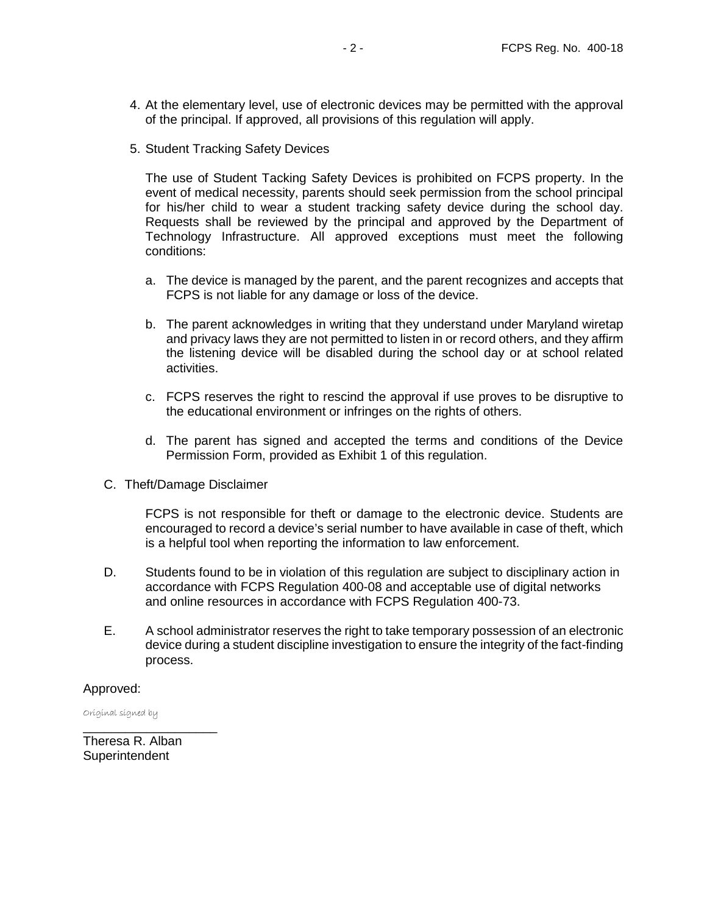- 4. At the elementary level, use of electronic devices may be permitted with the approval of the principal. If approved, all provisions of this regulation will apply.
- 5. Student Tracking Safety Devices

The use of Student Tacking Safety Devices is prohibited on FCPS property. In the event of medical necessity, parents should seek permission from the school principal for his/her child to wear a student tracking safety device during the school day. Requests shall be reviewed by the principal and approved by the Department of Technology Infrastructure. All approved exceptions must meet the following conditions:

- a. The device is managed by the parent, and the parent recognizes and accepts that FCPS is not liable for any damage or loss of the device.
- b. The parent acknowledges in writing that they understand under Maryland wiretap and privacy laws they are not permitted to listen in or record others, and they affirm the listening device will be disabled during the school day or at school related activities.
- c. FCPS reserves the right to rescind the approval if use proves to be disruptive to the educational environment or infringes on the rights of others.
- d. The parent has signed and accepted the terms and conditions of the Device Permission Form, provided as Exhibit 1 of this regulation.
- C. Theft/Damage Disclaimer

FCPS is not responsible for theft or damage to the electronic device. Students are encouraged to record a device's serial number to have available in case of theft, which is a helpful tool when reporting the information to law enforcement.

- D. Students found to be in violation of this regulation are subject to disciplinary action in accordance with FCPS Regulation 400-08 and acceptable use of digital networks and online resources in accordance with FCPS Regulation 400-73.
- E. A school administrator reserves the right to take temporary possession of an electronic device during a student discipline investigation to ensure the integrity of the fact-finding process.

## Approved:

Original signed by

Theresa R. Alban **Superintendent** 

\_\_\_\_\_\_\_\_\_\_\_\_\_\_\_\_\_\_\_